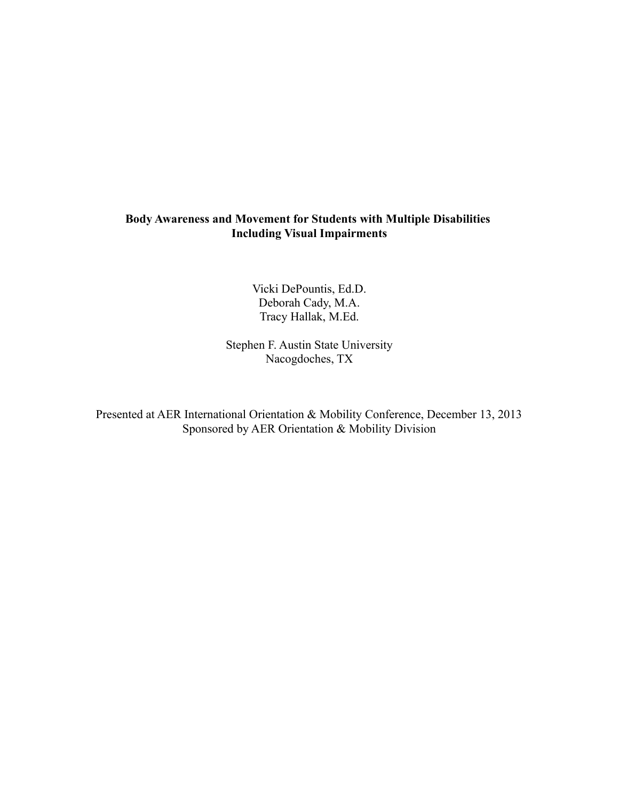# **Body Awareness and Movement for Students with Multiple Disabilities Including Visual Impairments**

Vicki DePountis, Ed.D. Deborah Cady, M.A. Tracy Hallak, M.Ed.

Stephen F. Austin State University Nacogdoches, TX

Presented at AER International Orientation & Mobility Conference, December 13, 2013 Sponsored by AER Orientation & Mobility Division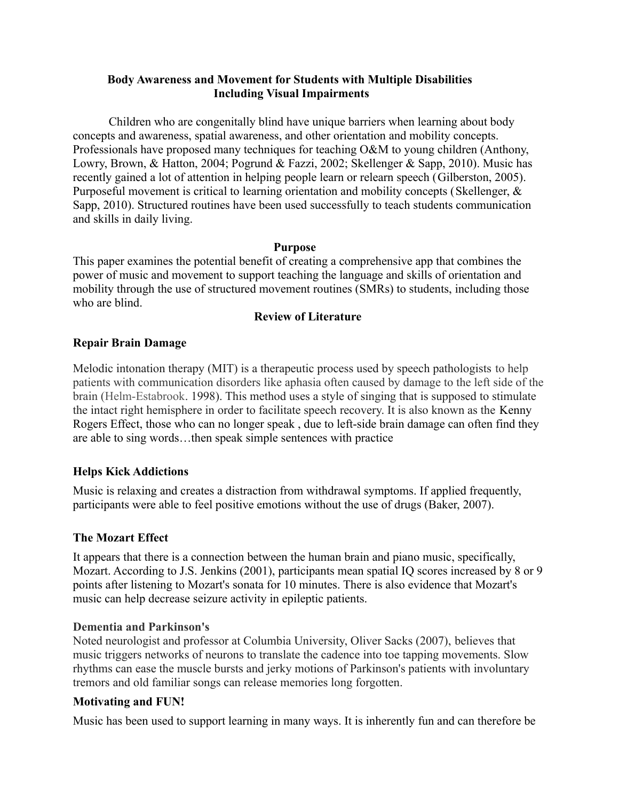# **Body Awareness and Movement for Students with Multiple Disabilities Including Visual Impairments**

Children who are congenitally blind have unique barriers when learning about body concepts and awareness, spatial awareness, and other orientation and mobility concepts. Professionals have proposed many techniques for teaching O&M to young children (Anthony, Lowry, Brown, & Hatton, 2004; Pogrund & Fazzi, 2002; Skellenger & Sapp, 2010). Music has recently gained a lot of attention in helping people learn or relearn speech (Gilberston, 2005). Purposeful movement is critical to learning orientation and mobility concepts (Skellenger, & Sapp, 2010). Structured routines have been used successfully to teach students communication and skills in daily living.

#### **Purpose**

This paper examines the potential benefit of creating a comprehensive app that combines the power of music and movement to support teaching the language and skills of orientation and mobility through the use of structured movement routines (SMRs) to students, including those who are blind.

## **Review of Literature**

## **Repair Brain Damage**

Melodic intonation therapy (MIT) is a therapeutic process used by speech pathologists to help patients with communication disorders like aphasia often caused by damage to the left side of the brain (Helm-Estabrook. 1998). This method uses a style of singing that is supposed to stimulate the intact right hemisphere in order to facilitate speech recovery. It is also known as the Kenny Rogers Effect, those who can no longer speak , due to left-side brain damage can often find they are able to sing words…then speak simple sentences with practice

# **Helps Kick Addictions**

Music is relaxing and creates a distraction from withdrawal symptoms. If applied frequently, participants were able to feel positive emotions without the use of drugs (Baker, 2007).

# **The Mozart Effect**

It appears that there is a connection between the human brain and piano music, specifically, Mozart. According to J.S. Jenkins (2001), participants mean spatial IQ scores increased by 8 or 9 points after listening to Mozart's sonata for 10 minutes. There is also evidence that Mozart's music can help decrease seizure activity in epileptic patients.

# **Dementia and Parkinson's**

Noted neurologist and professor at Columbia University, Oliver Sacks (2007), believes that music triggers networks of neurons to translate the cadence into toe tapping movements. Slow rhythms can ease the muscle bursts and jerky motions of Parkinson's patients with involuntary tremors and old familiar songs can release memories long forgotten.

# **Motivating and FUN!**

Music has been used to support learning in many ways. It is inherently fun and can therefore be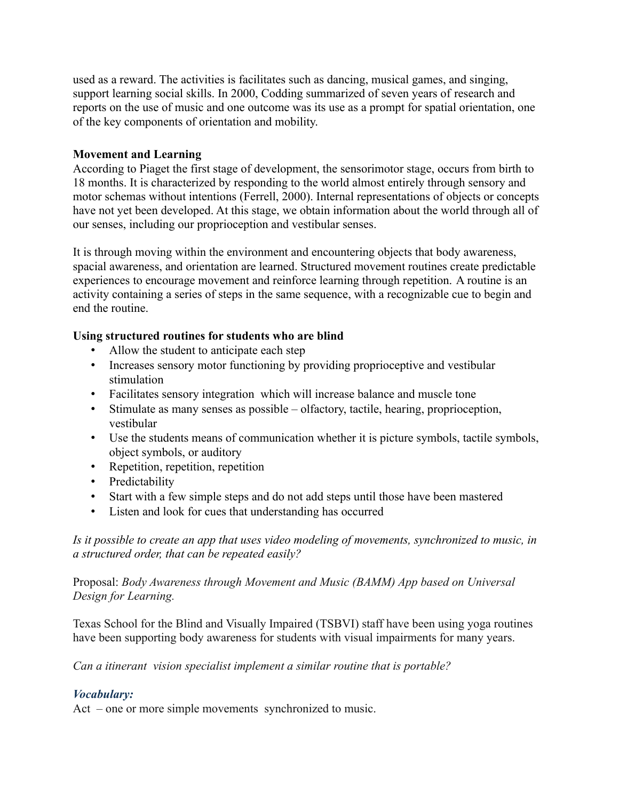used as a reward. The activities is facilitates such as dancing, musical games, and singing, support learning social skills. In 2000, Codding summarized of seven years of research and reports on the use of music and one outcome was its use as a prompt for spatial orientation, one of the key components of orientation and mobility.

## **Movement and Learning**

According to Piaget the first stage of development, the sensorimotor stage, occurs from birth to 18 months. It is characterized by responding to the world almost entirely through sensory and motor schemas without intentions (Ferrell, 2000). Internal representations of objects or concepts have not yet been developed. At this stage, we obtain information about the world through all of our senses, including our proprioception and vestibular senses.

It is through moving within the environment and encountering objects that body awareness, spacial awareness, and orientation are learned. Structured movement routines create predictable experiences to encourage movement and reinforce learning through repetition. A routine is an activity containing a series of steps in the same sequence, with a recognizable cue to begin and end the routine.

# **Using structured routines for students who are blind**

- Allow the student to anticipate each step
- Increases sensory motor functioning by providing proprioceptive and vestibular stimulation
- Facilitates sensory integration which will increase balance and muscle tone
- Stimulate as many senses as possible olfactory, tactile, hearing, proprioception, vestibular
- Use the students means of communication whether it is picture symbols, tactile symbols, object symbols, or auditory
- Repetition, repetition, repetition
- Predictability
- Start with a few simple steps and do not add steps until those have been mastered
- Listen and look for cues that understanding has occurred

*Is it possible to create an app that uses video modeling of movements, synchronized to music, in a structured order, that can be repeated easily?*

Proposal: *Body Awareness through Movement and Music (BAMM) App based on Universal Design for Learning.*

Texas School for the Blind and Visually Impaired (TSBVI) staff have been using yoga routines have been supporting body awareness for students with visual impairments for many years.

*Can a itinerant vision specialist implement a similar routine that is portable?*

# *Vocabulary:*

Act – one or more simple movements synchronized to music.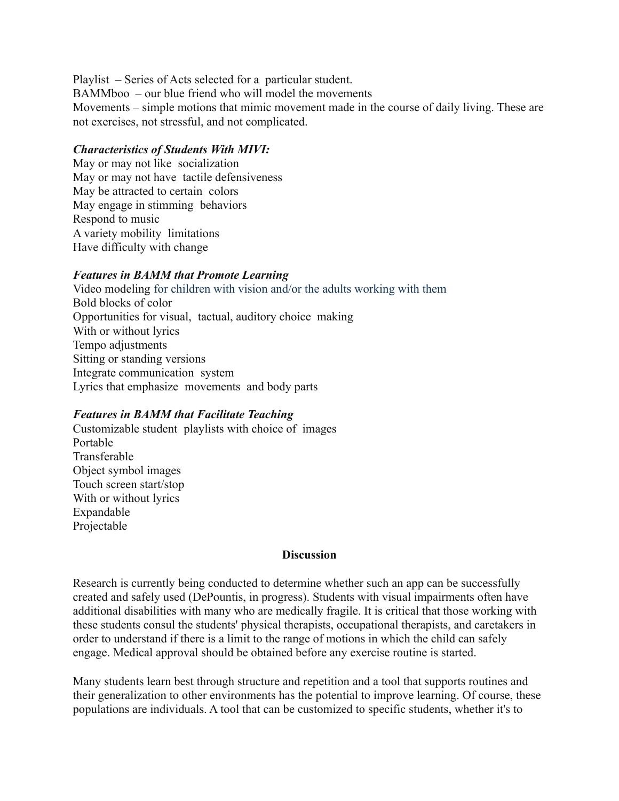Playlist – Series of Acts selected for a particular student. BAMMboo – our blue friend who will model the movements Movements – simple motions that mimic movement made in the course of daily living. These are not exercises, not stressful, and not complicated.

#### *Characteristics of Students With MIVI:*

May or may not like socialization May or may not have tactile defensiveness May be attracted to certain colors May engage in stimming behaviors Respond to music A variety mobility limitations Have difficulty with change

## *Features in BAMM that Promote Learning*

Video modeling for children with vision and/or the adults working with them Bold blocks of color Opportunities for visual, tactual, auditory choice making With or without lyrics Tempo adjustments Sitting or standing versions Integrate communication system Lyrics that emphasize movements and body parts

# *Features in BAMM that Facilitate Teaching*

Customizable student playlists with choice of images Portable Transferable Object symbol images Touch screen start/stop With or without lyrics Expandable Projectable

#### **Discussion**

Research is currently being conducted to determine whether such an app can be successfully created and safely used (DePountis, in progress). Students with visual impairments often have additional disabilities with many who are medically fragile. It is critical that those working with these students consul the students' physical therapists, occupational therapists, and caretakers in order to understand if there is a limit to the range of motions in which the child can safely engage. Medical approval should be obtained before any exercise routine is started.

Many students learn best through structure and repetition and a tool that supports routines and their generalization to other environments has the potential to improve learning. Of course, these populations are individuals. A tool that can be customized to specific students, whether it's to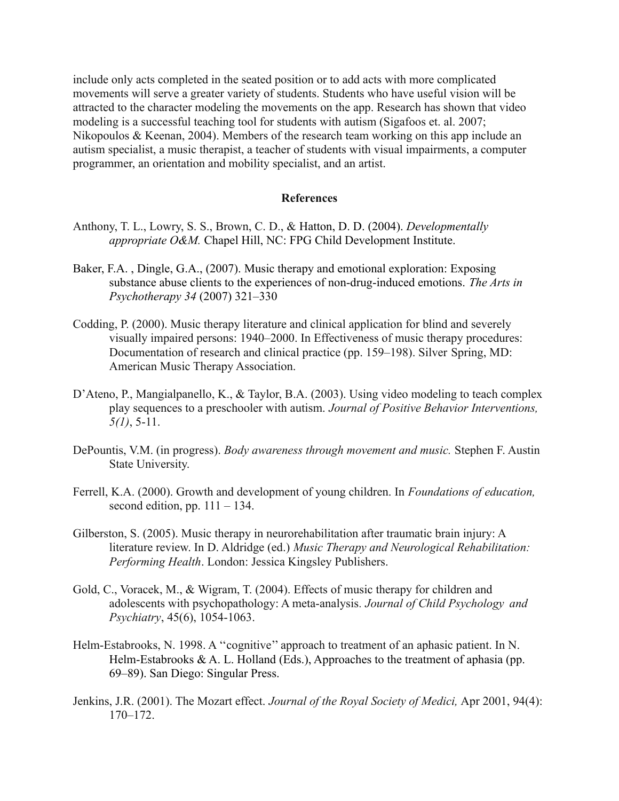include only acts completed in the seated position or to add acts with more complicated movements will serve a greater variety of students. Students who have useful vision will be attracted to the character modeling the movements on the app. Research has shown that video modeling is a successful teaching tool for students with autism (Sigafoos et. al. 2007; Nikopoulos  $&$  Keenan, 2004). Members of the research team working on this app include an autism specialist, a music therapist, a teacher of students with visual impairments, a computer programmer, an orientation and mobility specialist, and an artist.

#### **References**

- Anthony, T. L., Lowry, S. S., Brown, C. D., & Hatton, D. D. (2004). *Developmentally appropriate O&M.* Chapel Hill, NC: FPG Child Development Institute.
- Baker, F.A. , Dingle, G.A., (2007). Music therapy and emotional exploration: Exposing substance abuse clients to the experiences of non-drug-induced emotions. *The Arts in Psychotherapy 34* (2007) 321–330
- Codding, P. (2000). Music therapy literature and clinical application for blind and severely visually impaired persons: 1940–2000. In Effectiveness of music therapy procedures: Documentation of research and clinical practice (pp. 159–198). Silver Spring, MD: American Music Therapy Association.
- D'Ateno, P., Mangialpanello, K., & Taylor, B.A. (2003). Using video modeling to teach complex play sequences to a preschooler with autism. *Journal of Positive Behavior Interventions, 5(1)*, 5-11.
- DePountis, V.M. (in progress). *Body awareness through movement and music.* Stephen F. Austin State University.
- Ferrell, K.A. (2000). Growth and development of young children. In *Foundations of education,* second edition, pp.  $111 - 134$ .
- Gilberston, S. (2005). Music therapy in neurorehabilitation after traumatic brain injury: A literature review. In D. Aldridge (ed.) *Music Therapy and Neurological Rehabilitation: Performing Health*. London: Jessica Kingsley Publishers.
- Gold, C., Voracek, M., & Wigram, T. (2004). Effects of music therapy for children and adolescents with psychopathology: A meta-analysis*. Journal of Child Psychology and Psychiatry*, 45(6), 1054-1063.
- Helm-Estabrooks, N. 1998. A ''cognitive'' approach to treatment of an aphasic patient. In N. Helm-Estabrooks  $\& A$ . L. Holland (Eds.), Approaches to the treatment of aphasia (pp. 69–89). San Diego: Singular Press.
- Jenkins, J.R. (2001). The Mozart effect. *Journal of the Royal Society of Medici,* Apr 2001, 94(4): 170–172.